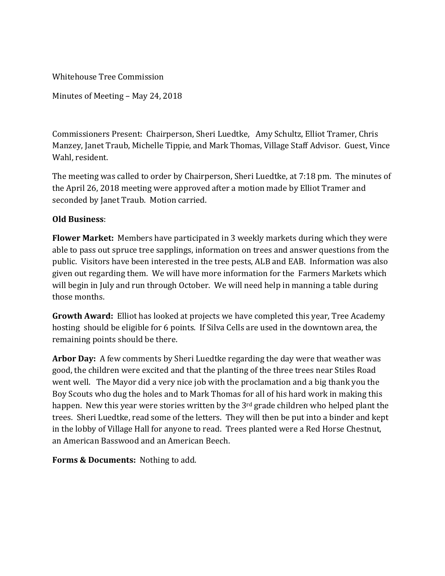Whitehouse Tree Commission

Minutes of Meeting – May 24, 2018

Commissioners Present: Chairperson, Sheri Luedtke, Amy Schultz, Elliot Tramer, Chris Manzey, Janet Traub, Michelle Tippie, and Mark Thomas, Village Staff Advisor. Guest, Vince Wahl, resident.

The meeting was called to order by Chairperson, Sheri Luedtke, at 7:18 pm. The minutes of the April 26, 2018 meeting were approved after a motion made by Elliot Tramer and seconded by Janet Traub. Motion carried.

## **Old Business**:

**Flower Market:** Members have participated in 3 weekly markets during which they were able to pass out spruce tree sapplings, information on trees and answer questions from the public. Visitors have been interested in the tree pests, ALB and EAB. Information was also given out regarding them. We will have more information for the Farmers Markets which will begin in July and run through October. We will need help in manning a table during those months.

**Growth Award:** Elliot has looked at projects we have completed this year, Tree Academy hosting should be eligible for 6 points. If Silva Cells are used in the downtown area, the remaining points should be there.

**Arbor Day:** A few comments by Sheri Luedtke regarding the day were that weather was good, the children were excited and that the planting of the three trees near Stiles Road went well. The Mayor did a very nice job with the proclamation and a big thank you the Boy Scouts who dug the holes and to Mark Thomas for all of his hard work in making this happen. New this year were stories written by the 3<sup>rd</sup> grade children who helped plant the trees. Sheri Luedtke, read some of the letters. They will then be put into a binder and kept in the lobby of Village Hall for anyone to read. Trees planted were a Red Horse Chestnut, an American Basswood and an American Beech.

**Forms & Documents:** Nothing to add.